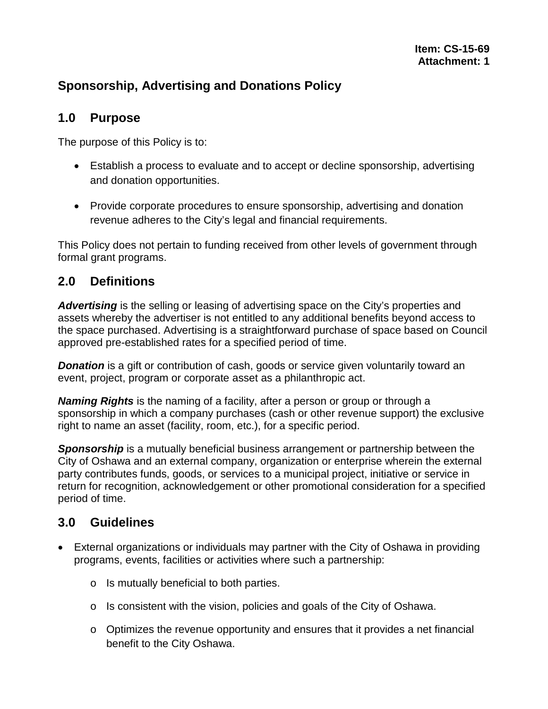## **Sponsorship, Advertising and Donations Policy**

#### **1.0 Purpose**

The purpose of this Policy is to:

- Establish a process to evaluate and to accept or decline sponsorship, advertising and donation opportunities.
- Provide corporate procedures to ensure sponsorship, advertising and donation revenue adheres to the City's legal and financial requirements.

This Policy does not pertain to funding received from other levels of government through formal grant programs.

### **2.0 Definitions**

*Advertising* is the selling or leasing of advertising space on the City's properties and assets whereby the advertiser is not entitled to any additional benefits beyond access to the space purchased. Advertising is a straightforward purchase of space based on Council approved pre-established rates for a specified period of time.

**Donation** is a gift or contribution of cash, goods or service given voluntarily toward an event, project, program or corporate asset as a philanthropic act.

*Naming Rights* is the naming of a facility, after a person or group or through a sponsorship in which a company purchases (cash or other revenue support) the exclusive right to name an asset (facility, room, etc.), for a specific period.

**Sponsorship** is a mutually beneficial business arrangement or partnership between the City of Oshawa and an external company, organization or enterprise wherein the external party contributes funds, goods, or services to a municipal project, initiative or service in return for recognition, acknowledgement or other promotional consideration for a specified period of time.

### **3.0 Guidelines**

- External organizations or individuals may partner with the City of Oshawa in providing programs, events, facilities or activities where such a partnership:
	- o Is mutually beneficial to both parties.
	- o Is consistent with the vision, policies and goals of the City of Oshawa.
	- o Optimizes the revenue opportunity and ensures that it provides a net financial benefit to the City Oshawa.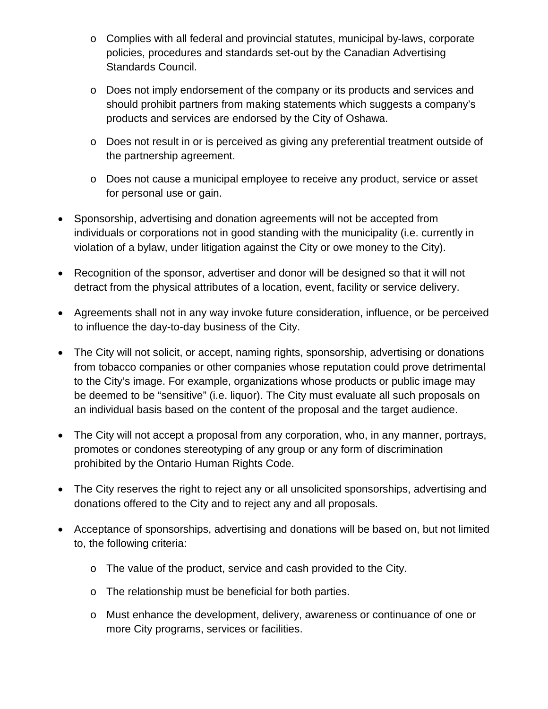- o Complies with all federal and provincial statutes, municipal by-laws, corporate policies, procedures and standards set-out by the Canadian Advertising Standards Council.
- o Does not imply endorsement of the company or its products and services and should prohibit partners from making statements which suggests a company's products and services are endorsed by the City of Oshawa.
- o Does not result in or is perceived as giving any preferential treatment outside of the partnership agreement.
- o Does not cause a municipal employee to receive any product, service or asset for personal use or gain.
- Sponsorship, advertising and donation agreements will not be accepted from individuals or corporations not in good standing with the municipality (i.e. currently in violation of a bylaw, under litigation against the City or owe money to the City).
- Recognition of the sponsor, advertiser and donor will be designed so that it will not detract from the physical attributes of a location, event, facility or service delivery.
- Agreements shall not in any way invoke future consideration, influence, or be perceived to influence the day-to-day business of the City.
- The City will not solicit, or accept, naming rights, sponsorship, advertising or donations from tobacco companies or other companies whose reputation could prove detrimental to the City's image. For example, organizations whose products or public image may be deemed to be "sensitive" (i.e. liquor). The City must evaluate all such proposals on an individual basis based on the content of the proposal and the target audience.
- The City will not accept a proposal from any corporation, who, in any manner, portrays, promotes or condones stereotyping of any group or any form of discrimination prohibited by the Ontario Human Rights Code.
- The City reserves the right to reject any or all unsolicited sponsorships, advertising and donations offered to the City and to reject any and all proposals.
- Acceptance of sponsorships, advertising and donations will be based on, but not limited to, the following criteria:
	- o The value of the product, service and cash provided to the City.
	- o The relationship must be beneficial for both parties.
	- o Must enhance the development, delivery, awareness or continuance of one or more City programs, services or facilities.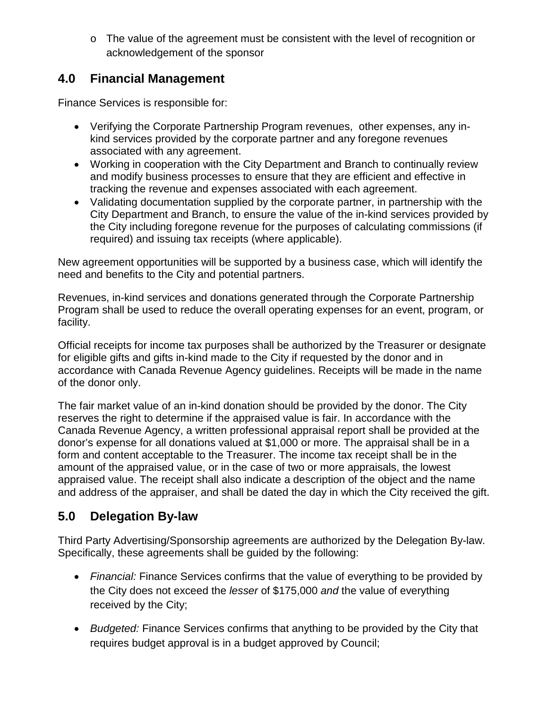o The value of the agreement must be consistent with the level of recognition or acknowledgement of the sponsor

### **4.0 Financial Management**

Finance Services is responsible for:

- Verifying the Corporate Partnership Program revenues, other expenses, any inkind services provided by the corporate partner and any foregone revenues associated with any agreement.
- Working in cooperation with the City Department and Branch to continually review and modify business processes to ensure that they are efficient and effective in tracking the revenue and expenses associated with each agreement.
- Validating documentation supplied by the corporate partner, in partnership with the City Department and Branch, to ensure the value of the in-kind services provided by the City including foregone revenue for the purposes of calculating commissions (if required) and issuing tax receipts (where applicable).

New agreement opportunities will be supported by a business case, which will identify the need and benefits to the City and potential partners.

Revenues, in-kind services and donations generated through the Corporate Partnership Program shall be used to reduce the overall operating expenses for an event, program, or facility.

Official receipts for income tax purposes shall be authorized by the Treasurer or designate for eligible gifts and gifts in-kind made to the City if requested by the donor and in accordance with Canada Revenue Agency guidelines. Receipts will be made in the name of the donor only.

The fair market value of an in-kind donation should be provided by the donor. The City reserves the right to determine if the appraised value is fair. In accordance with the Canada Revenue Agency, a written professional appraisal report shall be provided at the donor's expense for all donations valued at \$1,000 or more. The appraisal shall be in a form and content acceptable to the Treasurer. The income tax receipt shall be in the amount of the appraised value, or in the case of two or more appraisals, the lowest appraised value. The receipt shall also indicate a description of the object and the name and address of the appraiser, and shall be dated the day in which the City received the gift.

# **5.0 Delegation By-law**

Third Party Advertising/Sponsorship agreements are authorized by the Delegation By-law. Specifically, these agreements shall be guided by the following:

- *Financial:* Finance Services confirms that the value of everything to be provided by the City does not exceed the *lesser* of \$175,000 *and* the value of everything received by the City;
- *Budgeted:* Finance Services confirms that anything to be provided by the City that requires budget approval is in a budget approved by Council;